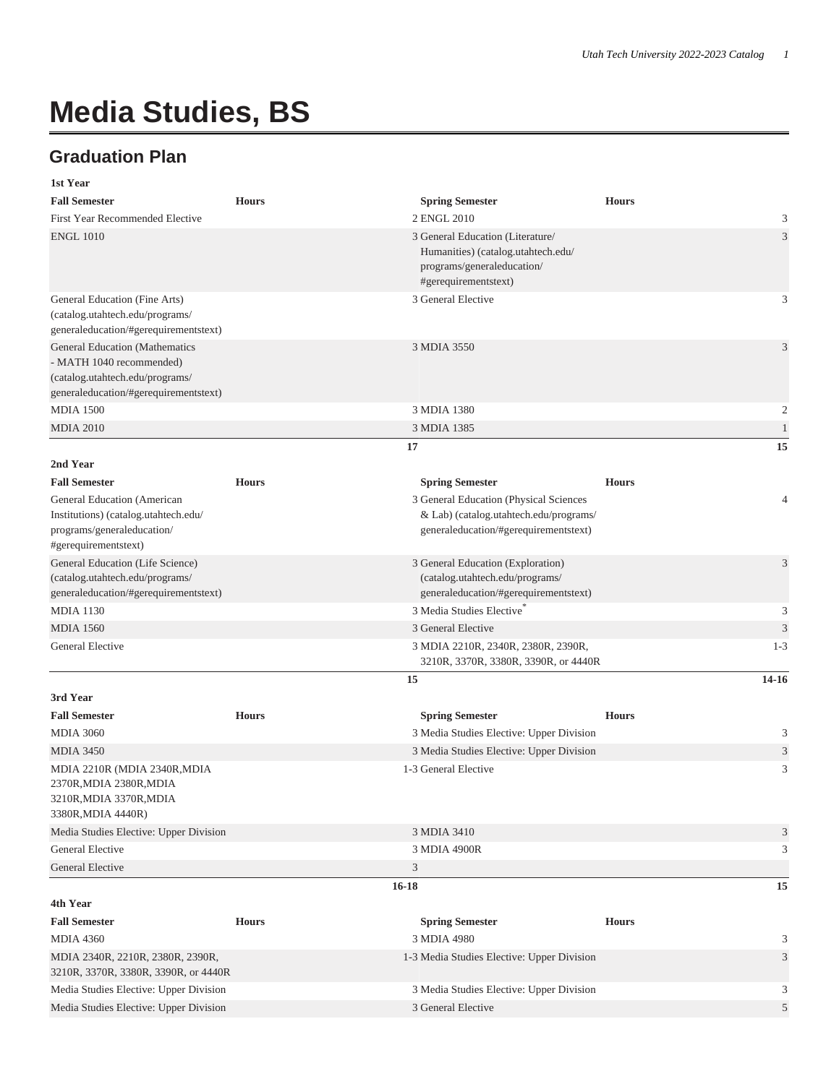## **Media Studies, BS**

## **Graduation Plan**

| 1st Year                                                                                                                                      |              |                                                                                                                              |                |
|-----------------------------------------------------------------------------------------------------------------------------------------------|--------------|------------------------------------------------------------------------------------------------------------------------------|----------------|
| <b>Fall Semester</b>                                                                                                                          | <b>Hours</b> | <b>Spring Semester</b>                                                                                                       | <b>Hours</b>   |
| First Year Recommended Elective                                                                                                               |              | 2 ENGL 2010                                                                                                                  | 3              |
| <b>ENGL 1010</b>                                                                                                                              |              | 3 General Education (Literature/<br>Humanities) (catalog.utahtech.edu/<br>programs/generaleducation/<br>#gerequirementstext) | $\mathfrak{Z}$ |
| General Education (Fine Arts)<br>(catalog.utahtech.edu/programs/<br>generaleducation/#gerequirementstext)                                     |              | 3 General Elective                                                                                                           | 3              |
| <b>General Education (Mathematics</b><br>- MATH 1040 recommended)<br>(catalog.utahtech.edu/programs/<br>generaleducation/#gerequirementstext) |              | 3 MDIA 3550                                                                                                                  | $\mathfrak{Z}$ |
| <b>MDIA 1500</b>                                                                                                                              |              | 3 MDIA 1380                                                                                                                  | $\mathfrak{2}$ |
| <b>MDIA 2010</b>                                                                                                                              |              | 3 MDIA 1385                                                                                                                  | $\mathbf{1}$   |
|                                                                                                                                               |              | 17                                                                                                                           | 15             |
| 2nd Year                                                                                                                                      |              |                                                                                                                              |                |
| <b>Fall Semester</b>                                                                                                                          | <b>Hours</b> | <b>Spring Semester</b>                                                                                                       | <b>Hours</b>   |
| General Education (American                                                                                                                   |              | 3 General Education (Physical Sciences                                                                                       | $\overline{4}$ |
| Institutions) (catalog.utahtech.edu/<br>programs/generaleducation/                                                                            |              | & Lab) (catalog.utahtech.edu/programs/<br>generaleducation/#gerequirementstext)                                              |                |
| #gerequirementstext)                                                                                                                          |              |                                                                                                                              |                |
| General Education (Life Science)<br>(catalog.utahtech.edu/programs/<br>generaleducation/#gerequirementstext)                                  |              | 3 General Education (Exploration)<br>(catalog.utahtech.edu/programs/<br>generaleducation/#gerequirementstext)                | $\mathfrak{Z}$ |
| <b>MDIA 1130</b>                                                                                                                              |              | 3 Media Studies Elective                                                                                                     | 3              |
| <b>MDIA 1560</b>                                                                                                                              |              | 3 General Elective                                                                                                           | $\mathfrak{Z}$ |
| General Elective                                                                                                                              |              | 3 MDIA 2210R, 2340R, 2380R, 2390R,<br>3210R, 3370R, 3380R, 3390R, or 4440R                                                   | $1 - 3$        |
|                                                                                                                                               |              | 15                                                                                                                           | 14-16          |
| 3rd Year                                                                                                                                      |              |                                                                                                                              |                |
| <b>Fall Semester</b>                                                                                                                          | <b>Hours</b> | <b>Spring Semester</b>                                                                                                       | <b>Hours</b>   |
| <b>MDIA 3060</b>                                                                                                                              |              | 3 Media Studies Elective: Upper Division                                                                                     | 3              |
| <b>MDIA 3450</b>                                                                                                                              |              | 3 Media Studies Elective: Upper Division                                                                                     | $\mathfrak{Z}$ |
| MDIA 2210R (MDIA 2340R, MDIA<br>2370R, MDIA 2380R, MDIA<br>3210R, MDIA 3370R, MDIA<br>3380R, MDIA 4440R)                                      |              | 1-3 General Elective                                                                                                         | 3              |
| Media Studies Elective: Upper Division                                                                                                        |              | 3 MDIA 3410                                                                                                                  | 3              |
| General Elective                                                                                                                              |              | 3 MDIA 4900R                                                                                                                 | 3              |
| General Elective                                                                                                                              |              | 3                                                                                                                            |                |
|                                                                                                                                               | $16 - 18$    |                                                                                                                              | 15             |
| 4th Year                                                                                                                                      |              |                                                                                                                              |                |
| <b>Fall Semester</b>                                                                                                                          | <b>Hours</b> | <b>Spring Semester</b>                                                                                                       | <b>Hours</b>   |
| <b>MDIA 4360</b>                                                                                                                              |              | 3 MDIA 4980                                                                                                                  | 3              |
| MDIA 2340R, 2210R, 2380R, 2390R,<br>3210R, 3370R, 3380R, 3390R, or 4440R                                                                      |              | 1-3 Media Studies Elective: Upper Division                                                                                   | 3              |
| Media Studies Elective: Upper Division                                                                                                        |              | 3 Media Studies Elective: Upper Division                                                                                     | 3              |
| Media Studies Elective: Upper Division                                                                                                        |              | 3 General Elective                                                                                                           | $\mathfrak{S}$ |